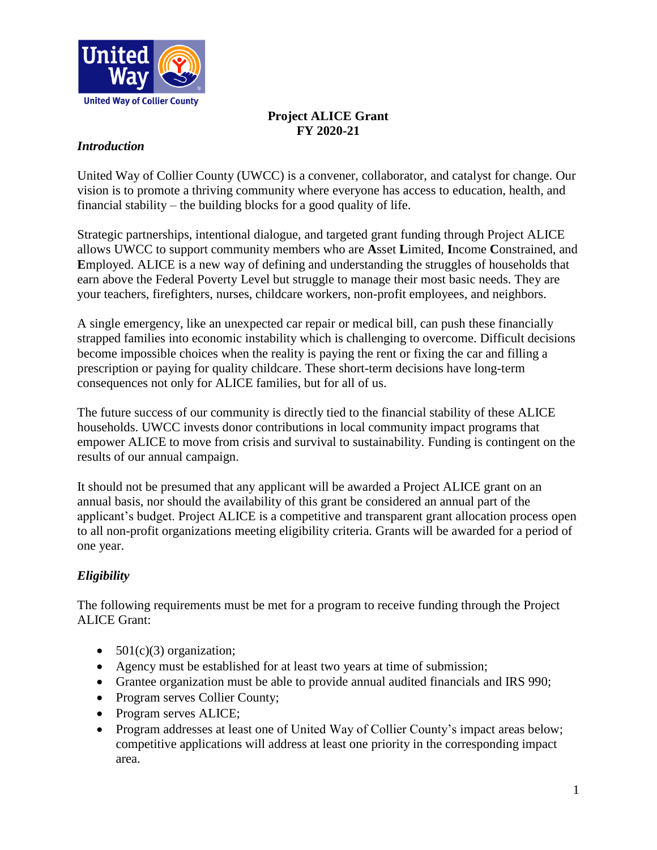

# **Project ALICE Grant FY 2020-21**

## *Introduction*

United Way of Collier County (UWCC) is a convener, collaborator, and catalyst for change. Our vision is to promote a thriving community where everyone has access to education, health, and financial stability – the building blocks for a good quality of life.

Strategic partnerships, intentional dialogue, and targeted grant funding through Project ALICE allows UWCC to support community members who are **A**sset **L**imited, **I**ncome **C**onstrained, and **E**mployed. ALICE is a new way of defining and understanding the struggles of households that earn above the Federal Poverty Level but struggle to manage their most basic needs. They are your teachers, firefighters, nurses, childcare workers, non-profit employees, and neighbors.

A single emergency, like an unexpected car repair or medical bill, can push these financially strapped families into economic instability which is challenging to overcome. Difficult decisions become impossible choices when the reality is paying the rent or fixing the car and filling a prescription or paying for quality childcare. These short-term decisions have long-term consequences not only for ALICE families, but for all of us.

The future success of our community is directly tied to the financial stability of these ALICE households. UWCC invests donor contributions in local community impact programs that empower ALICE to move from crisis and survival to sustainability. Funding is contingent on the results of our annual campaign.

It should not be presumed that any applicant will be awarded a Project ALICE grant on an annual basis, nor should the availability of this grant be considered an annual part of the applicant's budget. Project ALICE is a competitive and transparent grant allocation process open to all non-profit organizations meeting eligibility criteria. Grants will be awarded for a period of one year.

# *Eligibility*

The following requirements must be met for a program to receive funding through the Project ALICE Grant:

- $501(c)(3)$  organization;
- Agency must be established for at least two years at time of submission;
- Grantee organization must be able to provide annual audited financials and IRS 990;
- Program serves Collier County;
- Program serves ALICE;
- Program addresses at least one of United Way of Collier County's impact areas below; competitive applications will address at least one priority in the corresponding impact area.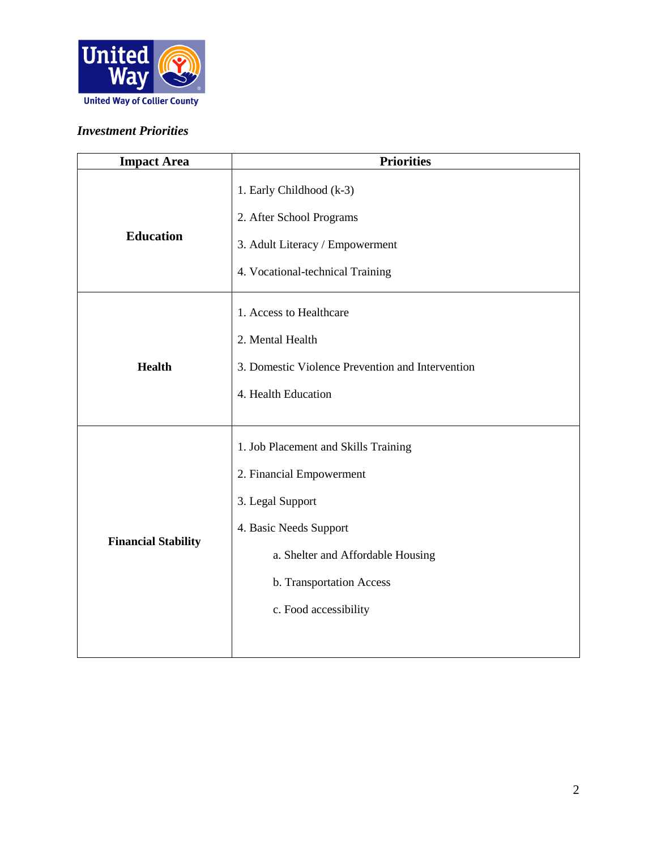

## *Investment Priorities*

| <b>Impact Area</b>         | <b>Priorities</b>                                                                                                                                                                                        |
|----------------------------|----------------------------------------------------------------------------------------------------------------------------------------------------------------------------------------------------------|
| <b>Education</b>           | 1. Early Childhood (k-3)<br>2. After School Programs<br>3. Adult Literacy / Empowerment<br>4. Vocational-technical Training                                                                              |
| <b>Health</b>              | 1. Access to Healthcare<br>2. Mental Health<br>3. Domestic Violence Prevention and Intervention<br>4. Health Education                                                                                   |
| <b>Financial Stability</b> | 1. Job Placement and Skills Training<br>2. Financial Empowerment<br>3. Legal Support<br>4. Basic Needs Support<br>a. Shelter and Affordable Housing<br>b. Transportation Access<br>c. Food accessibility |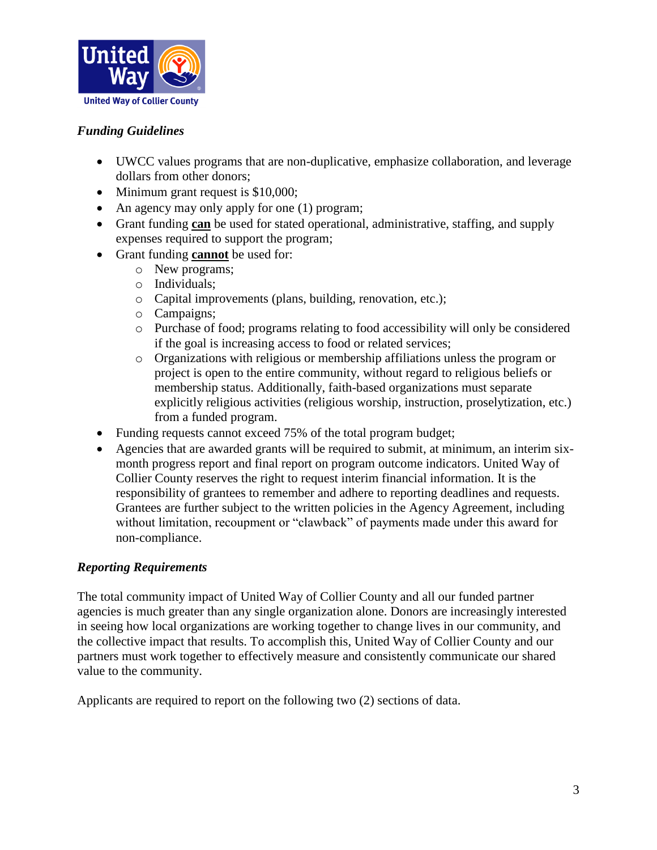

# *Funding Guidelines*

- UWCC values programs that are non-duplicative, emphasize collaboration, and leverage dollars from other donors;
- Minimum grant request is \$10,000;
- An agency may only apply for one (1) program;
- Grant funding **can** be used for stated operational, administrative, staffing, and supply expenses required to support the program;
- Grant funding **cannot** be used for:
	- o New programs;
	- o Individuals;
	- o Capital improvements (plans, building, renovation, etc.);
	- o Campaigns;
	- o Purchase of food; programs relating to food accessibility will only be considered if the goal is increasing access to food or related services;
	- o Organizations with religious or membership affiliations unless the program or project is open to the entire community, without regard to religious beliefs or membership status. Additionally, faith-based organizations must separate explicitly religious activities (religious worship, instruction, proselytization, etc.) from a funded program.
- Funding requests cannot exceed 75% of the total program budget;
- Agencies that are awarded grants will be required to submit, at minimum, an interim sixmonth progress report and final report on program outcome indicators. United Way of Collier County reserves the right to request interim financial information. It is the responsibility of grantees to remember and adhere to reporting deadlines and requests. Grantees are further subject to the written policies in the Agency Agreement, including without limitation, recoupment or "clawback" of payments made under this award for non-compliance.

#### *Reporting Requirements*

The total community impact of United Way of Collier County and all our funded partner agencies is much greater than any single organization alone. Donors are increasingly interested in seeing how local organizations are working together to change lives in our community, and the collective impact that results. To accomplish this, United Way of Collier County and our partners must work together to effectively measure and consistently communicate our shared value to the community.

Applicants are required to report on the following two (2) sections of data.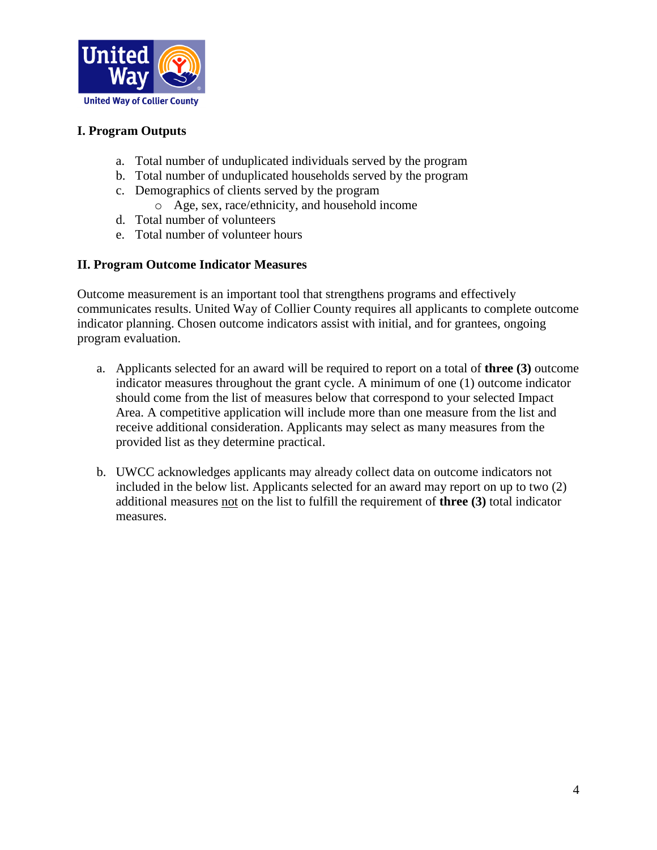

## **I. Program Outputs**

- a. Total number of unduplicated individuals served by the program
- b. Total number of unduplicated households served by the program
- c. Demographics of clients served by the program
	- o Age, sex, race/ethnicity, and household income
- d. Total number of volunteers
- e. Total number of volunteer hours

#### **II. Program Outcome Indicator Measures**

Outcome measurement is an important tool that strengthens programs and effectively communicates results. United Way of Collier County requires all applicants to complete outcome indicator planning. Chosen outcome indicators assist with initial, and for grantees, ongoing program evaluation.

- a. Applicants selected for an award will be required to report on a total of **three (3)** outcome indicator measures throughout the grant cycle. A minimum of one (1) outcome indicator should come from the list of measures below that correspond to your selected Impact Area. A competitive application will include more than one measure from the list and receive additional consideration. Applicants may select as many measures from the provided list as they determine practical.
- b. UWCC acknowledges applicants may already collect data on outcome indicators not included in the below list. Applicants selected for an award may report on up to two (2) additional measures not on the list to fulfill the requirement of **three (3)** total indicator measures.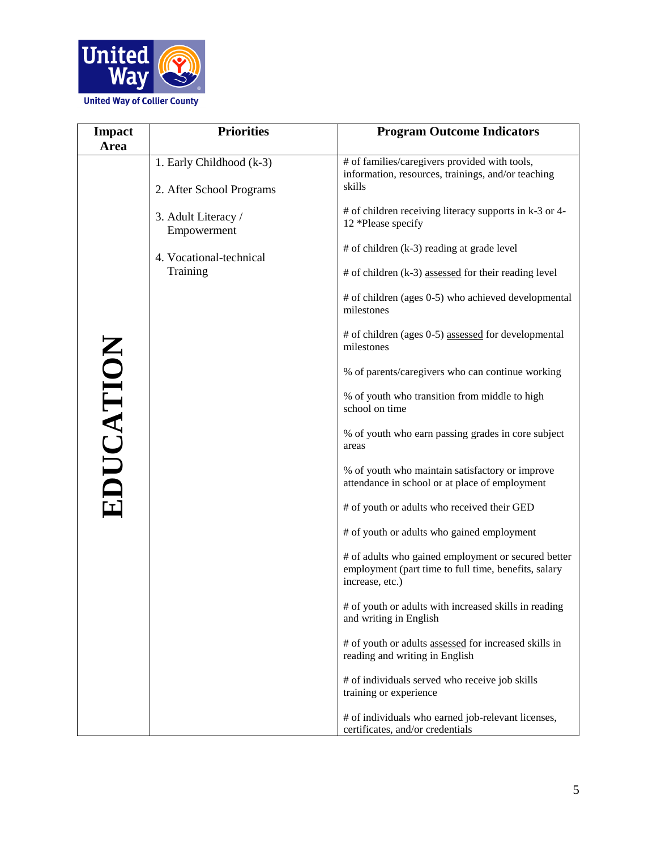

| <b>Impact</b> | <b>Priorities</b>                                                                                                                 | <b>Program Outcome Indicators</b>                                                                                                                                                                                                                                                                                                                                                                                                                                                                   |
|---------------|-----------------------------------------------------------------------------------------------------------------------------------|-----------------------------------------------------------------------------------------------------------------------------------------------------------------------------------------------------------------------------------------------------------------------------------------------------------------------------------------------------------------------------------------------------------------------------------------------------------------------------------------------------|
| Area          | 1. Early Childhood (k-3)<br>2. After School Programs<br>3. Adult Literacy /<br>Empowerment<br>4. Vocational-technical<br>Training | # of families/caregivers provided with tools,<br>information, resources, trainings, and/or teaching<br>skills<br># of children receiving literacy supports in k-3 or 4-<br>12 *Please specify<br># of children (k-3) reading at grade level<br>$#$ of children (k-3) assessed for their reading level<br># of children (ages 0-5) who achieved developmental<br>milestones<br># of children (ages 0-5) assessed for developmental<br>milestones<br>% of parents/caregivers who can continue working |
| EDUCATION     |                                                                                                                                   | % of youth who transition from middle to high<br>school on time<br>% of youth who earn passing grades in core subject<br>areas                                                                                                                                                                                                                                                                                                                                                                      |
|               |                                                                                                                                   | % of youth who maintain satisfactory or improve<br>attendance in school or at place of employment<br># of youth or adults who received their GED                                                                                                                                                                                                                                                                                                                                                    |
|               |                                                                                                                                   | # of youth or adults who gained employment                                                                                                                                                                                                                                                                                                                                                                                                                                                          |
|               |                                                                                                                                   | # of adults who gained employment or secured better<br>employment (part time to full time, benefits, salary<br>increase, etc.)                                                                                                                                                                                                                                                                                                                                                                      |
|               |                                                                                                                                   | # of youth or adults with increased skills in reading<br>and writing in English                                                                                                                                                                                                                                                                                                                                                                                                                     |
|               |                                                                                                                                   | # of youth or adults assessed for increased skills in<br>reading and writing in English                                                                                                                                                                                                                                                                                                                                                                                                             |
|               |                                                                                                                                   | # of individuals served who receive job skills<br>training or experience                                                                                                                                                                                                                                                                                                                                                                                                                            |
|               |                                                                                                                                   | # of individuals who earned job-relevant licenses,<br>certificates, and/or credentials                                                                                                                                                                                                                                                                                                                                                                                                              |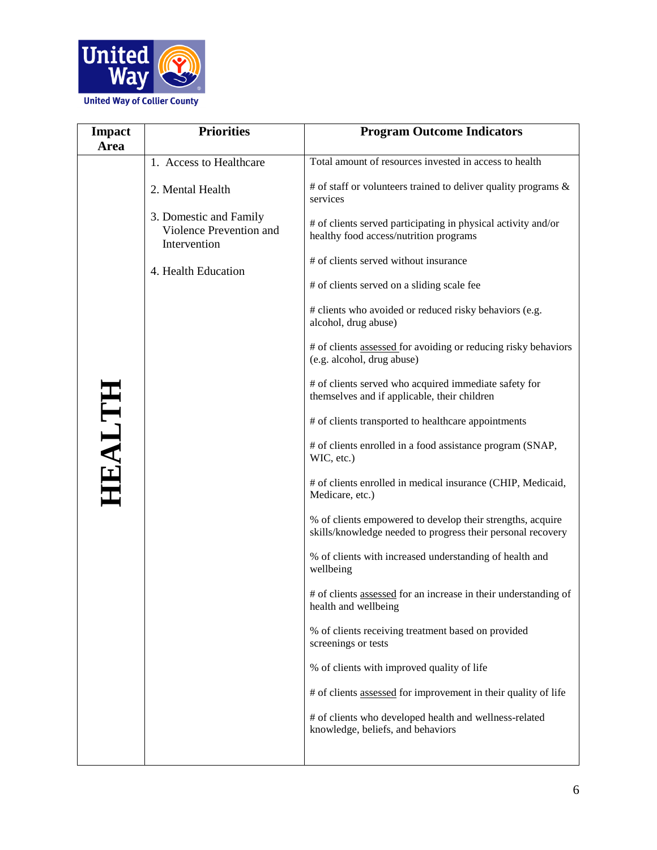

| <b>Impact</b><br><b>Area</b> | <b>Priorities</b>                                                 | <b>Program Outcome Indicators</b>                                                                                         |
|------------------------------|-------------------------------------------------------------------|---------------------------------------------------------------------------------------------------------------------------|
|                              | 1. Access to Healthcare                                           | Total amount of resources invested in access to health                                                                    |
|                              | 2. Mental Health                                                  | $#$ of staff or volunteers trained to deliver quality programs $\&$<br>services                                           |
|                              | 3. Domestic and Family<br>Violence Prevention and<br>Intervention | # of clients served participating in physical activity and/or<br>healthy food access/nutrition programs                   |
|                              | 4. Health Education                                               | # of clients served without insurance                                                                                     |
|                              |                                                                   | # of clients served on a sliding scale fee                                                                                |
|                              |                                                                   | # clients who avoided or reduced risky behaviors (e.g.<br>alcohol, drug abuse)                                            |
|                              |                                                                   | # of clients assessed for avoiding or reducing risky behaviors<br>(e.g. alcohol, drug abuse)                              |
|                              |                                                                   | # of clients served who acquired immediate safety for<br>themselves and if applicable, their children                     |
|                              |                                                                   | # of clients transported to healthcare appointments                                                                       |
| HEALTH                       |                                                                   | # of clients enrolled in a food assistance program (SNAP,<br>WIC, etc.)                                                   |
|                              |                                                                   | # of clients enrolled in medical insurance (CHIP, Medicaid,<br>Medicare, etc.)                                            |
|                              |                                                                   | % of clients empowered to develop their strengths, acquire<br>skills/knowledge needed to progress their personal recovery |
|                              |                                                                   | % of clients with increased understanding of health and<br>wellbeing                                                      |
|                              |                                                                   | # of clients assessed for an increase in their understanding of<br>health and wellbeing                                   |
|                              |                                                                   | % of clients receiving treatment based on provided<br>screenings or tests                                                 |
|                              |                                                                   | % of clients with improved quality of life                                                                                |
|                              |                                                                   | # of clients assessed for improvement in their quality of life                                                            |
|                              |                                                                   | # of clients who developed health and wellness-related<br>knowledge, beliefs, and behaviors                               |
|                              |                                                                   |                                                                                                                           |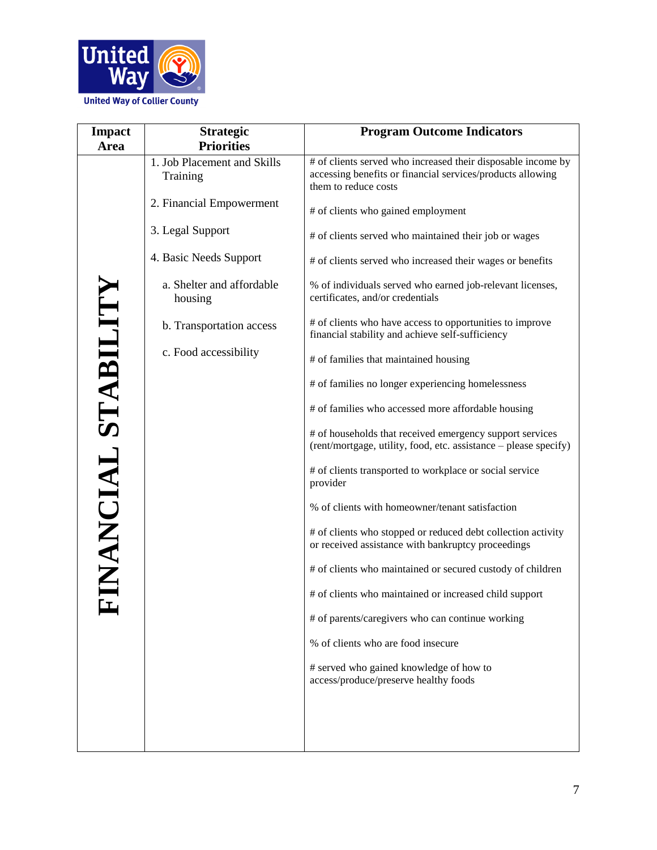

| <b>Impact</b><br>Area | <b>Strategic</b><br><b>Priorities</b>   | <b>Program Outcome Indicators</b>                                                                                                                  |
|-----------------------|-----------------------------------------|----------------------------------------------------------------------------------------------------------------------------------------------------|
|                       | 1. Job Placement and Skills<br>Training | # of clients served who increased their disposable income by<br>accessing benefits or financial services/products allowing<br>them to reduce costs |
|                       | 2. Financial Empowerment                | # of clients who gained employment                                                                                                                 |
|                       | 3. Legal Support                        | # of clients served who maintained their job or wages                                                                                              |
|                       | 4. Basic Needs Support                  | # of clients served who increased their wages or benefits                                                                                          |
|                       | a. Shelter and affordable<br>housing    | % of individuals served who earned job-relevant licenses,<br>certificates, and/or credentials                                                      |
|                       | b. Transportation access                | # of clients who have access to opportunities to improve<br>financial stability and achieve self-sufficiency                                       |
|                       | c. Food accessibility                   | # of families that maintained housing                                                                                                              |
|                       |                                         | # of families no longer experiencing homelessness                                                                                                  |
|                       |                                         | # of families who accessed more affordable housing                                                                                                 |
|                       |                                         | # of households that received emergency support services<br>(rent/mortgage, utility, food, etc. assistance - please specify)                       |
| INANCIAL STABILITY    |                                         | # of clients transported to workplace or social service<br>provider                                                                                |
|                       |                                         | % of clients with homeowner/tenant satisfaction                                                                                                    |
|                       |                                         | # of clients who stopped or reduced debt collection activity<br>or received assistance with bankruptcy proceedings                                 |
|                       |                                         | # of clients who maintained or secured custody of children                                                                                         |
|                       |                                         | # of clients who maintained or increased child support                                                                                             |
|                       |                                         | # of parents/caregivers who can continue working                                                                                                   |
|                       |                                         | % of clients who are food insecure                                                                                                                 |
|                       |                                         | # served who gained knowledge of how to<br>access/produce/preserve healthy foods                                                                   |
|                       |                                         |                                                                                                                                                    |
|                       |                                         |                                                                                                                                                    |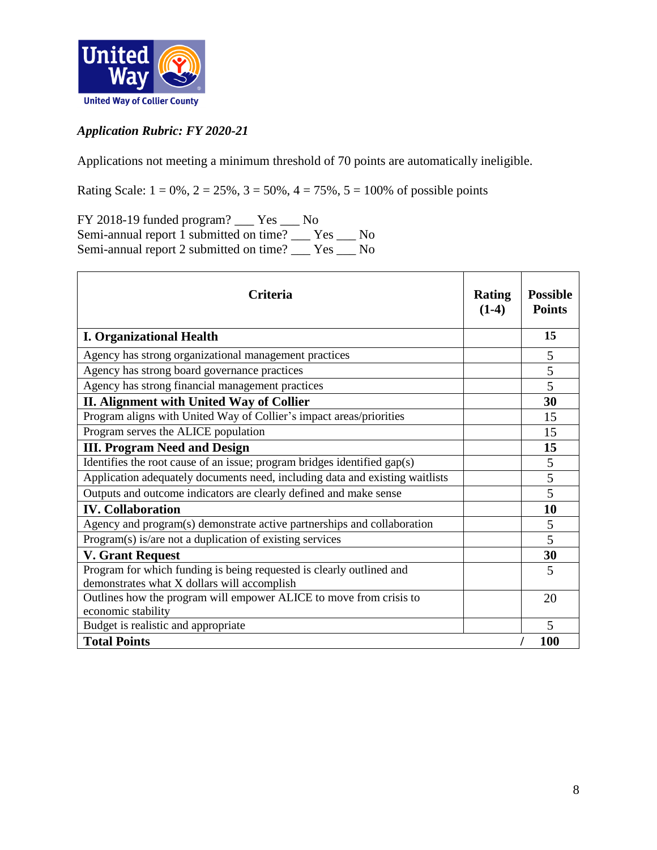

# *Application Rubric: FY 2020-21*

Applications not meeting a minimum threshold of 70 points are automatically ineligible.

Rating Scale:  $1 = 0\%$ ,  $2 = 25\%$ ,  $3 = 50\%$ ,  $4 = 75\%$ ,  $5 = 100\%$  of possible points

FY 2018-19 funded program? \_\_\_ Yes \_\_\_ No Semi-annual report 1 submitted on time? \_\_\_ Yes \_\_\_ No Semi-annual report 2 submitted on time? \_\_\_ Yes \_\_\_ No

| Criteria                                                                                                            |  | <b>Possible</b><br><b>Points</b> |
|---------------------------------------------------------------------------------------------------------------------|--|----------------------------------|
| <b>I. Organizational Health</b>                                                                                     |  | 15                               |
| Agency has strong organizational management practices                                                               |  | 5                                |
| Agency has strong board governance practices                                                                        |  | 5                                |
| Agency has strong financial management practices                                                                    |  | 5                                |
| II. Alignment with United Way of Collier                                                                            |  | 30                               |
| Program aligns with United Way of Collier's impact areas/priorities                                                 |  | 15                               |
| Program serves the ALICE population                                                                                 |  | 15                               |
| <b>III. Program Need and Design</b>                                                                                 |  | 15                               |
| Identifies the root cause of an issue; program bridges identified gap(s)                                            |  | 5                                |
| Application adequately documents need, including data and existing waitlists                                        |  | 5                                |
| Outputs and outcome indicators are clearly defined and make sense                                                   |  | 5                                |
| <b>IV. Collaboration</b>                                                                                            |  | 10                               |
| Agency and program(s) demonstrate active partnerships and collaboration                                             |  | 5                                |
| Program(s) is/are not a duplication of existing services                                                            |  | 5                                |
| <b>V. Grant Request</b>                                                                                             |  | 30                               |
| Program for which funding is being requested is clearly outlined and<br>demonstrates what X dollars will accomplish |  | 5                                |
| Outlines how the program will empower ALICE to move from crisis to<br>economic stability                            |  | 20                               |
| Budget is realistic and appropriate                                                                                 |  | 5                                |
| <b>Total Points</b>                                                                                                 |  | <b>100</b>                       |